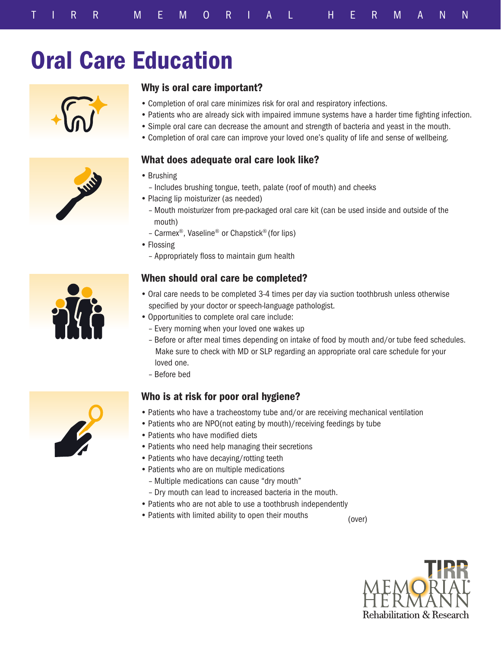# Oral Care Education



## Why is oral care important?

- Completion of oral care minimizes risk for oral and respiratory infections.
- Patients who are already sick with impaired immune systems have a harder time fighting infection.
- Simple oral care can decrease the amount and strength of bacteria and yeast in the mouth.
- Completion of oral care can improve your loved one's quality of life and sense of wellbeing.

#### What does adequate oral care look like?

- Brushing
- Includes brushing tongue, teeth, palate (roof of mouth) and cheeks
- Placing lip moisturizer (as needed)
	- Mouth moisturizer from pre-packaged oral care kit (can be used inside and outside of the mouth)
	- Carmex®, Vaseline® or Chapstick® (for lips)
- Flossing
	- Appropriately floss to maintain gum health

## When should oral care be completed?

- Oral care needs to be completed 3-4 times per day via suction toothbrush unless otherwise specified by your doctor or speech-language pathologist.
- Opportunities to complete oral care include:
	- Every morning when your loved one wakes up
	- Before or after meal times depending on intake of food by mouth and/or tube feed schedules. Make sure to check with MD or SLP regarding an appropriate oral care schedule for your loved one.
	- Before bed

## Who is at risk for poor oral hygiene?

- Patients who have a tracheostomy tube and/or are receiving mechanical ventilation
- Patients who are NPO(not eating by mouth)/receiving feedings by tube
- Patients who have modified diets
- Patients who need help managing their secretions
- Patients who have decaying/rotting teeth
- Patients who are on multiple medications
	- Multiple medications can cause "dry mouth"
	- Dry mouth can lead to increased bacteria in the mouth.
- Patients who are not able to use a toothbrush independently
- Patients with limited ability to open their mouths

(over)